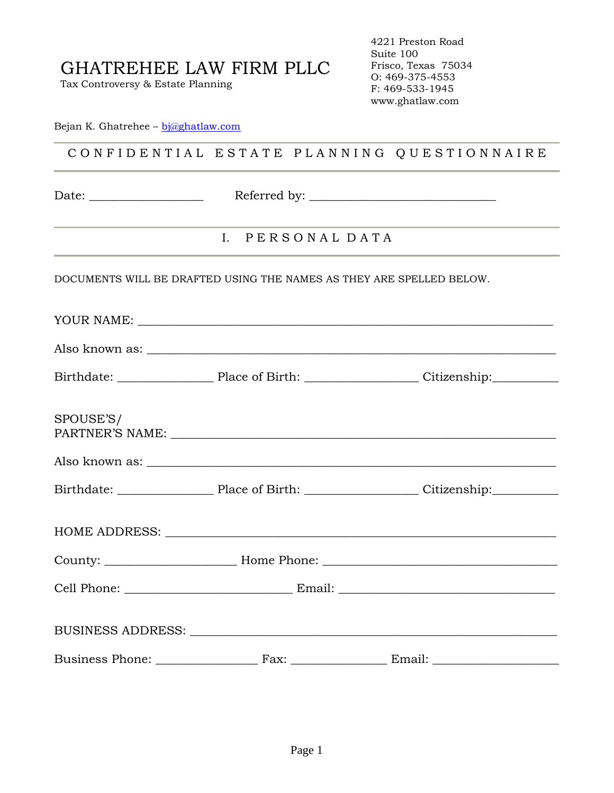Tax Controversy & Estate Planning

4221 Preston Road Suite 100 Frisco, Texas 75034 O: 469-375-4553 F: 469-533-1945 www.ghatlaw.com

Bejan K. Ghatrehee – [bj@ghatlaw.com](mailto:bj@ghatlaw.com)

### C O N F I D E N T I A L E S T A T E P L A N N I N G Q U E S T I O N N A I R E

Date: \_\_\_\_\_\_\_\_\_\_\_\_\_\_\_\_\_\_\_ Referred by: \_\_\_\_\_\_\_\_\_\_\_\_\_\_\_\_\_\_\_\_\_\_\_\_\_\_\_\_\_\_\_

### I. P E R S O N A L D A T A

DOCUMENTS WILL BE DRAFTED USING THE NAMES AS THEY ARE SPELLED BELOW.

YOUR NAME: Also known as: \_\_\_\_\_\_\_\_\_\_\_\_\_\_\_\_\_\_\_\_\_\_\_\_\_\_\_\_\_\_\_\_\_\_\_\_\_\_\_\_\_\_\_\_\_\_\_\_\_\_\_\_\_\_\_\_\_\_\_\_\_\_\_\_\_\_\_\_ Birthdate: The Place of Birth: The Citizenship:  $\Box$ SPOUSE'S/ PARTNER'S NAME: \_\_\_\_\_\_\_\_\_\_\_\_\_\_\_\_\_\_\_\_\_\_\_\_\_\_\_\_\_\_\_\_\_\_\_\_\_\_\_\_\_\_\_\_\_\_\_\_\_\_\_\_\_\_\_\_\_\_\_\_\_\_\_\_ Also known as: Birthdate: \_\_\_\_\_\_\_\_\_\_\_\_\_\_\_\_ Place of Birth: \_\_\_\_\_\_\_\_\_\_\_\_\_\_\_\_\_\_\_ Citizenship:\_\_\_\_\_\_\_\_\_\_\_ HOME ADDRESS: \_\_\_\_\_\_\_\_\_\_\_\_\_\_\_\_\_\_\_\_\_\_\_\_\_\_\_\_\_\_\_\_\_\_\_\_\_\_\_\_\_\_\_\_\_\_\_\_\_\_\_\_\_\_\_\_\_\_\_\_\_\_\_\_\_

| Cell Phone: The Contract of the Contract of the Contract of the Contract of the Contract of the Contract of the Contract of the Contract of the Contract of the Contract of the Contract of the Contract of the Contract of th | Email: |  |
|--------------------------------------------------------------------------------------------------------------------------------------------------------------------------------------------------------------------------------|--------|--|
| BUSINESS ADDRESS:                                                                                                                                                                                                              |        |  |

| <b>Business Phone:</b> | ʻax | Email: |
|------------------------|-----|--------|
|                        |     |        |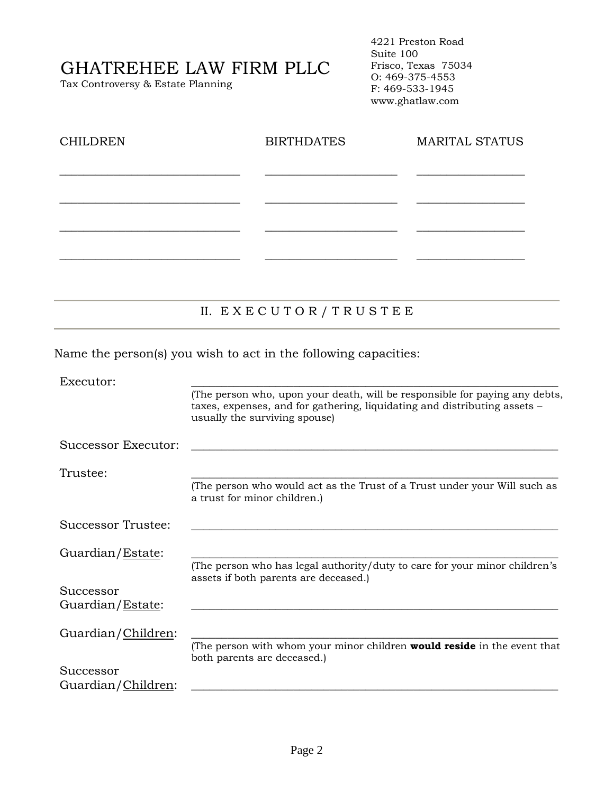Tax Controversy & Estate Planning

4221 Preston Road Suite 100 Frisco, Texas 75034 O: 469-375-4553 F: 469-533-1945 www.ghatlaw.com

| <b>CHILDREN</b> | <b>BIRTHDATES</b> | <b>MARITAL STATUS</b> |
|-----------------|-------------------|-----------------------|
|                 |                   |                       |
|                 |                   |                       |
|                 |                   |                       |
|                 |                   |                       |

### II. E X E C U T O R / T R U S T E E

Name the person(s) you wish to act in the following capacities:

| Executor:           |                                                                                                                                                                                           |
|---------------------|-------------------------------------------------------------------------------------------------------------------------------------------------------------------------------------------|
|                     | (The person who, upon your death, will be responsible for paying any debts,<br>taxes, expenses, and for gathering, liquidating and distributing assets -<br>usually the surviving spouse) |
| Successor Executor: |                                                                                                                                                                                           |
| Trustee:            |                                                                                                                                                                                           |
|                     | (The person who would act as the Trust of a Trust under your Will such as<br>a trust for minor children.)                                                                                 |
| Successor Trustee:  |                                                                                                                                                                                           |
| Guardian/Estate:    |                                                                                                                                                                                           |
|                     | (The person who has legal authority/duty to care for your minor children's<br>assets if both parents are deceased.)                                                                       |
| Successor           |                                                                                                                                                                                           |
| Guardian/Estate:    |                                                                                                                                                                                           |
| Guardian/Children:  |                                                                                                                                                                                           |
|                     | (The person with whom your minor children <b>would reside</b> in the event that<br>both parents are deceased.)                                                                            |
| Successor           |                                                                                                                                                                                           |
| Guardian/Children:  |                                                                                                                                                                                           |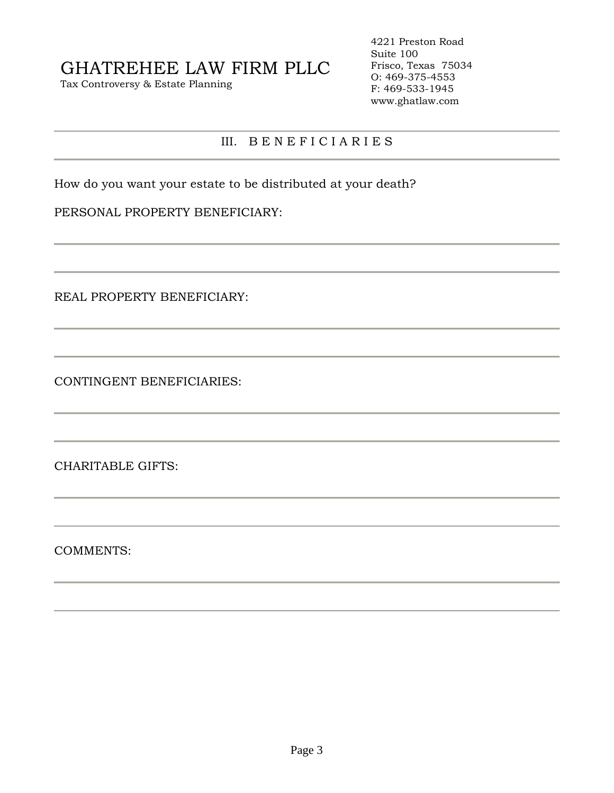Tax Controversy & Estate Planning

4221 Preston Road Suite 100 Frisco, Texas 75034 O: 469-375-4553 F: 469-533-1945 www.ghatlaw.com

#### III. B E N E F I C I A R I E S

How do you want your estate to be distributed at your death?

#### PERSONAL PROPERTY BENEFICIARY:

REAL PROPERTY BENEFICIARY:

CONTINGENT BENEFICIARIES:

CHARITABLE GIFTS:

COMMENTS: